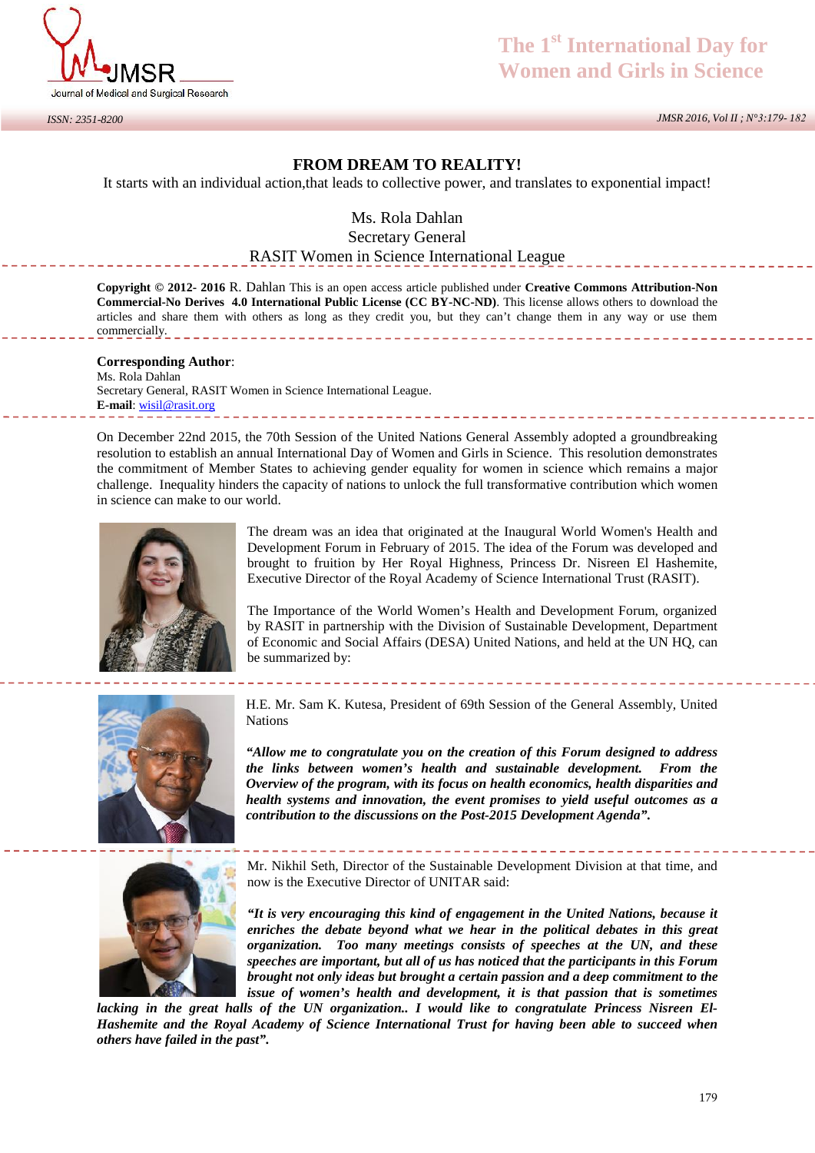

## **The 1st International Day for Women and Girls in Science**

 *JMSR 2016, Vol II ; N°3:179- 182*

## **FROM DREAM TO REALITY!**

It starts with an individual action,that leads to collective power, and translates to exponential impact!

Ms. Rola Dahlan

Secretary General

## RASIT Women in Science International League

**Copyright © 2012- 2016** R. Dahlan This is an open access article published under **Creative Commons Attribution-Non Commercial-No Derives 4.0 International Public License (CC BY-NC-ND)**. This license allows others to download the articles and share them with others as long as they credit you, but they can't change them in any way or use them commercially.

**Corresponding Author**: Ms. Rola Dahlan Secretary General, RASIT Women in Science International League. **E-mail**: wisil@rasit.org

On December 22nd 2015, the 70th Session of the United Nations General Assembly adopted a groundbreaking resolution to establish an annual International Day of Women and Girls in Science. This resolution demonstrates the commitment of Member States to achieving gender equality for women in science which remains a major challenge. Inequality hinders the capacity of nations to unlock the full transformative contribution which women in science can make to our world.



The dream was an idea that originated at the Inaugural World Women's Health and Development Forum in February of 2015. The idea of the Forum was developed and brought to fruition by Her Royal Highness, Princess Dr. Nisreen El Hashemite, Executive Director of the Royal Academy of Science International Trust (RASIT).

The Importance of the World Women's Health and Development Forum, organized by RASIT in partnership with the Division of Sustainable Development, Department of Economic and Social Affairs (DESA) United Nations, and held at the UN HQ, can be summarized by:



H.E. Mr. Sam K. Kutesa, President of 69th Session of the General Assembly, United **Nations** 

*"Allow me to congratulate you on the creation of this Forum designed to address the links between women's health and sustainable development. From the Overview of the program, with its focus on health economics, health disparities and health systems and innovation, the event promises to yield useful outcomes as a contribution to the discussions on the Post-2015 Development Agenda".*



Mr. Nikhil Seth, Director of the Sustainable Development Division at that time, and now is the Executive Director of UNITAR said:

*"It is very encouraging this kind of engagement in the United Nations, because it enriches the debate beyond what we hear in the political debates in this great organization. Too many meetings consists of speeches at the UN, and these speeches are important, but all of us has noticed that the participants in this Forum brought not only ideas but brought a certain passion and a deep commitment to the issue of women's health and development, it is that passion that is sometimes*

*lacking in the great halls of the UN organization.. I would like to congratulate Princess Nisreen El- Hashemite and the Royal Academy of Science International Trust for having been able to succeed when others have failed in the past".*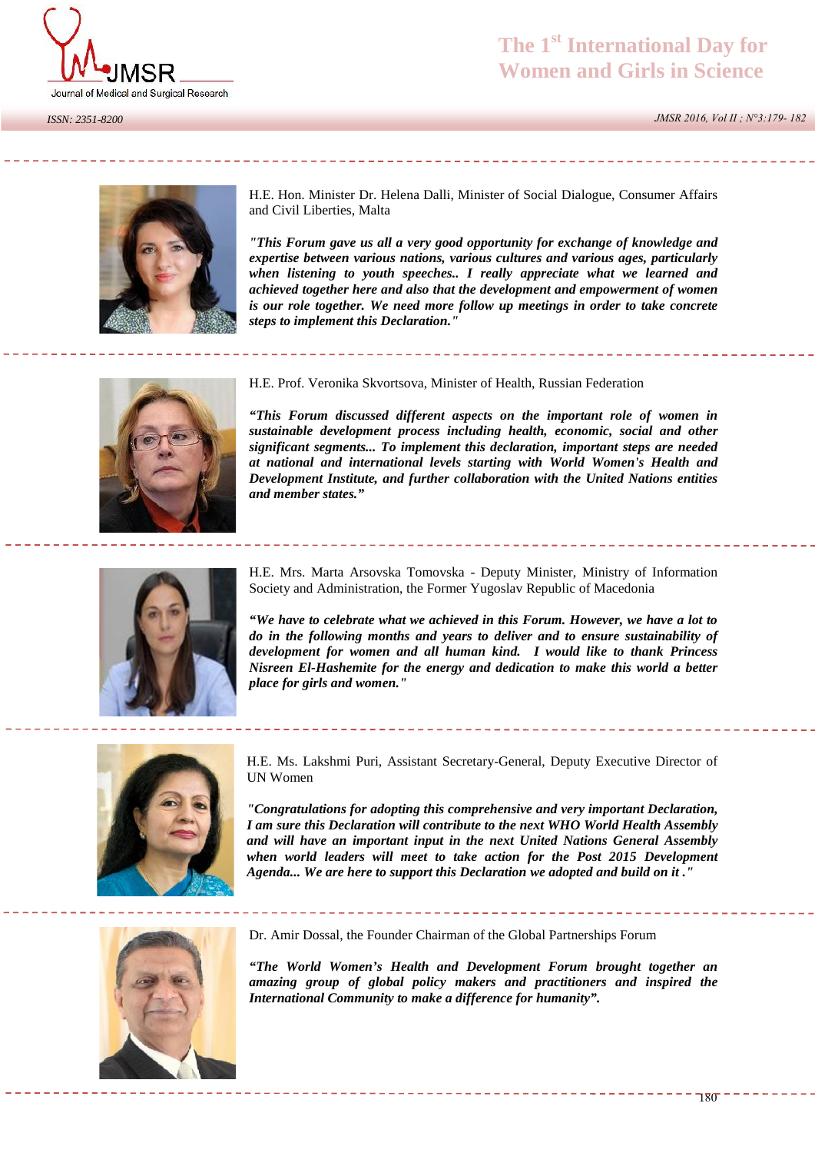

*ISSN: 2351-8200*

 *JMSR 2016, Vol II ; N°3:179- 182*



H.E. Hon. Minister Dr. Helena Dalli, Minister of Social Dialogue, Consumer Affairs and Civil Liberties, Malta

*"This Forum gave us all a very good opportunity for exchange of knowledge and expertise between various nations, various cultures and various ages, particularly when listening to youth speeches.. I really appreciate what we learned and achieved together here and also that the development and empowerment of women is our role together. We need more follow up meetings in order to take concrete steps to implement this Declaration."*



H.E. Prof. Veronika Skvortsova, Minister of Health, Russian Federation

*"This Forum discussed different aspects on the important role of women in sustainable development process including health, economic, social and other significant segments... To implement this declaration, important steps are needed at national and international levels starting with World Women's Health and Development Institute, and further collaboration with the United Nations entities and member states."*



H.E. Mrs. Marta Arsovska Tomovska - Deputy Minister, Ministry of Information Society and Administration, the Former Yugoslav Republic of Macedonia

*"We have to celebrate what we achieved in this Forum. However, we have a lot to do in the following months and years to deliver and to ensure sustainability of development for women and all human kind. I would like to thank Princess Nisreen El-Hashemite for the energy and dedication to make this world a better place for girls and women."*



H.E. Ms. Lakshmi Puri, Assistant Secretary-General, Deputy Executive Director of UN Women

*"Congratulations for adopting this comprehensive and very important Declaration, I am sure this Declaration will contribute to the next WHO World Health Assembly and will have an important input in the next United Nations General Assembly when world leaders will meet to take action for the Post 2015 Development Agenda... We are here to support this Declaration we adopted and build on it ."*



Dr. Amir Dossal, the Founder Chairman of the Global Partnerships Forum

*"The World Women's Health and Development Forum brought together an amazing group of global policy makers and practitioners and inspired the International Community to make a difference for humanity".*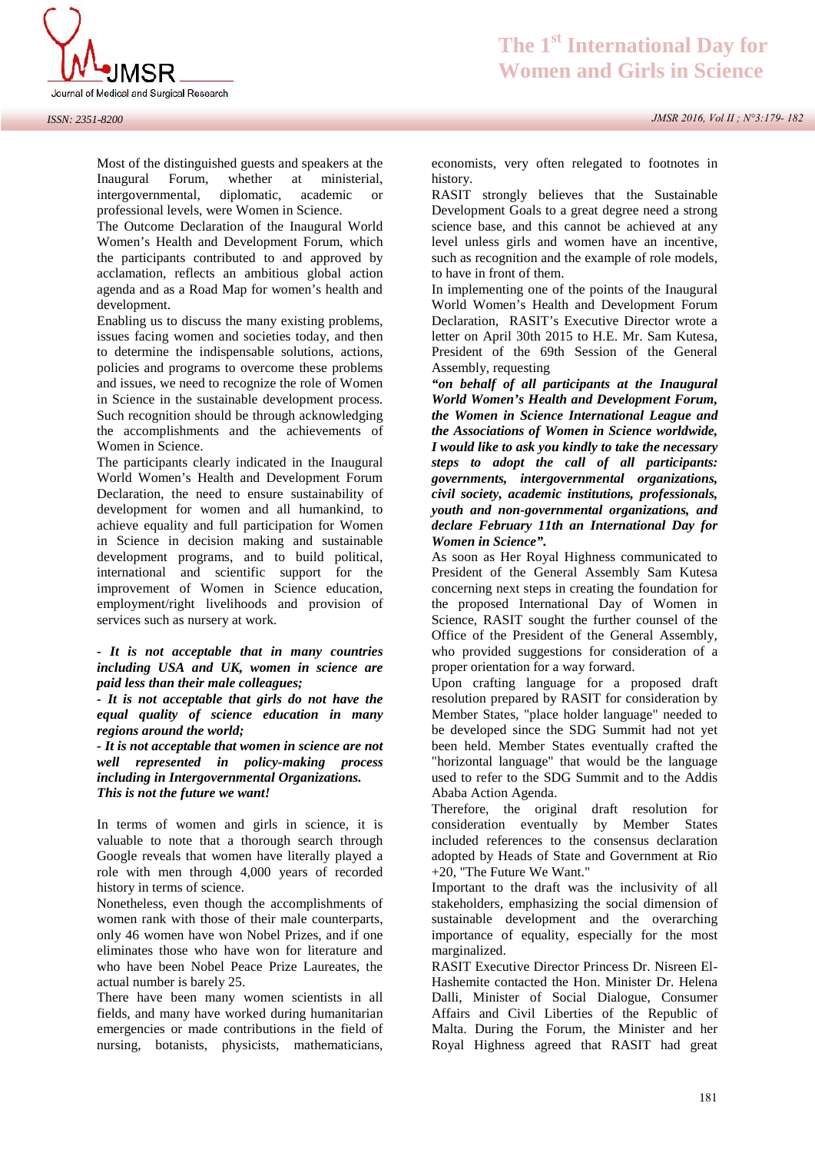

*ISSN: 2351-8200*

Most of the distinguished guests and speakers at the Inaugural Forum, whether at ministerial, intergovernmental, diplomatic, academic or professional levels, were Women in Science.

The Outcome Declaration of the Inaugural World Women's Health and Development Forum, which the participants contributed to and approved by acclamation, reflects an ambitious global action agenda and as a Road Map for women's health and development.

Enabling us to discuss the many existing problems, issues facing women and societies today, and then to determine the indispensable solutions, actions, policies and programs to overcome these problems and issues, we need to recognize the role of Women in Science in the sustainable development process. Such recognition should be through acknowledging the accomplishments and the achievements of Women in Science.

The participants clearly indicated in the Inaugural World Women's Health and Development Forum Declaration, the need to ensure sustainability of development for women and all humankind, to achieve equality and full participation for Women in Science in decision making and sustainable development programs, and to build political, international and scientific support for the improvement of Women in Science education, employment/right livelihoods and provision of services such as nursery at work.

## *- It is not acceptable that in many countries including USA and UK, women in science are paid less than their male colleagues;*

*- It is not acceptable that girls do not have the equal quality of science education in many regions around the world;*

*- It is not acceptable that women in science are not well represented in policy-making process including in Intergovernmental Organizations. This is not the future we want!*

In terms of women and girls in science, it is valuable to note that a thorough search through Google reveals that women have literally played a role with men through 4,000 years of recorded history in terms of science.

Nonetheless, even though the accomplishments of women rank with those of their male counterparts, only 46 women have won Nobel Prizes, and if one eliminates those who have won for literature and who have been Nobel Peace Prize Laureates, the actual number is barely 25.

There have been many women scientists in all fields, and many have worked during humanitarian emergencies or made contributions in the field of nursing, botanists, physicists, mathematicians,

economists, very often relegated to footnotes in history.

RASIT strongly believes that the Sustainable Development Goals to a great degree need a strong science base, and this cannot be achieved at any level unless girls and women have an incentive, such as recognition and the example of role models, to have in front of them.

In implementing one of the points of the Inaugural World Women's Health and Development Forum Declaration, RASIT's Executive Director wrote a letter on April 30th 2015 to H.E. Mr. Sam Kutesa, President of the 69th Session of the General Assembly, requesting

*"on behalf of all participants at the Inaugural World Women's Health and Development Forum, the Women in Science International League and the Associations of Women in Science worldwide, I would like to ask you kindly to take the necessary steps to adopt the call of all participants: governments, intergovernmental organizations, civil society, academic institutions, professionals, youth and non-governmental organizations, and declare February 11th an International Day for Women in Science".*

As soon as Her Royal Highness communicated to President of the General Assembly Sam Kutesa concerning next steps in creating the foundation for the proposed International Day of Women in Science, RASIT sought the further counsel of the Office of the President of the General Assembly, who provided suggestions for consideration of a proper orientation for a way forward.

Upon crafting language for a proposed draft resolution prepared by RASIT for consideration by Member States, "place holder language" needed to be developed since the SDG Summit had not yet been held. Member States eventually crafted the "horizontal language" that would be the language used to refer to the SDG Summit and to the Addis Ababa Action Agenda.

Therefore, the original draft resolution for consideration eventually by Member States included references to the consensus declaration adopted by Heads of State and Government at Rio +20, "The Future We Want."

Important to the draft was the inclusivity of all stakeholders, emphasizing the social dimension of sustainable development and the overarching importance of equality, especially for the most marginalized.

RASIT Executive Director Princess Dr. Nisreen El- Hashemite contacted the Hon. Minister Dr. Helena Dalli, Minister of Social Dialogue, Consumer Affairs and Civil Liberties of the Republic of Malta. During the Forum, the Minister and her Royal Highness agreed that RASIT had great